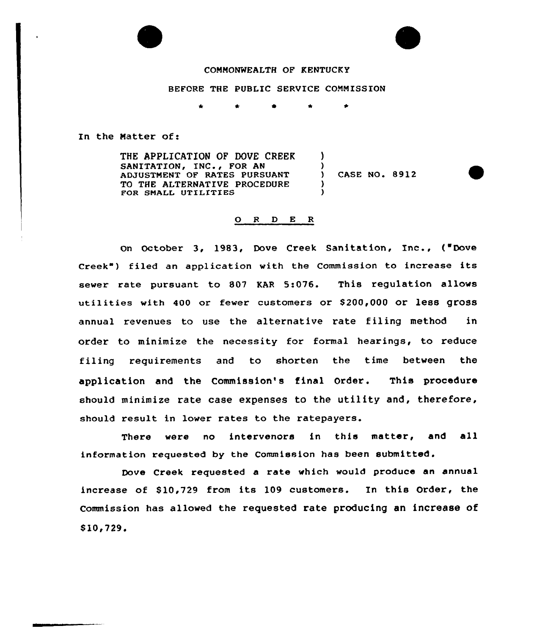

# COMMONWEALTH OF KENTUCKY

#### BEFORE THE PUBLIC SERVICE COMMISSION

 $\ddot{\phantom{a}}$  $\hat{\mathbf{x}}$  $\bullet$ 

)

)

) )

In the Natter of:

THE APPLICATION OF DOVE CREEK SANITATION, INC., FOR AN ADJUSTMENT OF RATES PURSUANT TO THE ALTERNATIVE PROCEDURE FOR SMALL UTILITIES

) CASE NO. 8912

#### 0 <sup>R</sup> <sup>D</sup> E <sup>R</sup>

on October 3, 1983, Dove Creek Sanitation, Inc., ("Dove Creek") filed an application with the Commission to increase its sewer rate pursuant to 807 KAR 5:076. This regulation allows utilities with 400 or fewer customers or S200,000 or less gross annual revenues to use the alternative rate filing method in order to minimize the necessity for formal hearings, to reduce filing requirements and to shorten the time between the application and the Commission's final Order. This procedure should minimize rate case expenses to the utility and, therefore, should result in lower rates to the ratepayers.

There were no intervenors in this matter, and all information requested by the Commission has been submitted.

Dove Creek requested a rate which would produce an annual increase of S10,729 from its 109 customers. In this Order, the Commission has allowed the requested rate producing an increase of  $$10, 729.$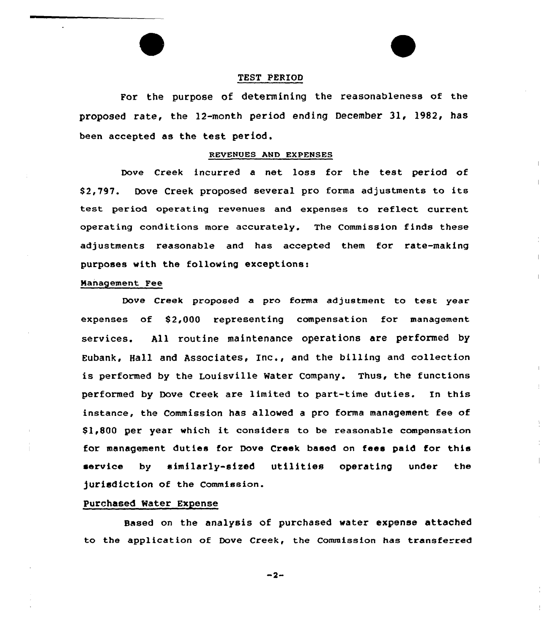# TEST PERIOD

For the purpose of determining the reasonableness of the proposed rate, the 12-month period ending December 31, 1982, has been accepted as the test period.

#### REVENUES AND EXPENSES

Dove Creek incurred a net loss for the test period of \$ 2,797. Dove Creek proposed several pro forma adjustments to its test period operating revenues and expenses to reflect current operating conditions more accurately. The Commission finds these adjustments reasonable and has accepted them tor rate-making purposes with the following exceptions:

## Management Fee

Dove Creek proposed a pro forma adjustment to test year expenses of S2,000 representing compensation for management services. All routine maintenance operations are performed by Eubank, Hall and Associates< Inc., and the billing and collection is performed by the Louisville Water Company. Thus, the functions performed by Dove Creek are limited to part-time duties. In this instance, the Commission has allowed a pro forma management fee of \$ 1,800 per year which it considers to be reasonable compensation for management duties for Dove Creek based on fees paid for this service by similarly-sized utilities operating under the jurisdiction af the Commission.

# Purchased Water Expense

Based on the analysis of purchased water expense attached to the application of Dove Creek, the Commission has transferred

 $-2-$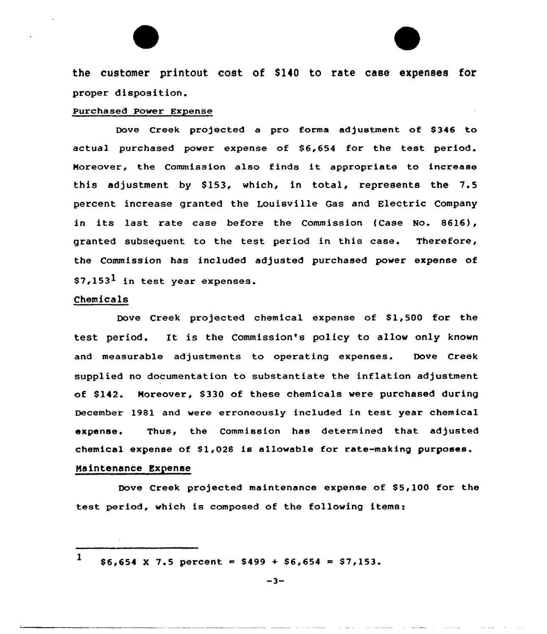the customer printout cost of \$140 to rate case expenses for proper disposition.

## Purchased Power Expense

Dove Creek projected a pro forma adjustment of \$346 to actual purchased power expense of \$6,654 for the test period. Moreover, the Commission also finds it appropriate to increase this adjustment by \$153, which, in total, represents the  $7.5$ percent increase granted the Louisville Gas and Electric Company in its last rate case before the Commission (Case No. 8616), granted subsequent to the test period in this case. Therefore, the Commission has included adjusted purchased power expense of  $$7,153<sup>1</sup>$  in test year expenses.

#### Chem ica1s

Dove Creek projected chemical expense of \$1,500 for the test period. It is the Commission's policy to allow only known and measurable adjustments to operating expenses. Dove Creek supplied no documentation to substantiate the inflation adjustment of \$142. Moreover, \$330 of these chemicals were purchased during December 1981 and vere erroneously included in test year chemical expense. Thus, the Commission has determined that adjusted chemical expense of \$1,028 is allowable for rate-making purposes.

#### Maintenance Expense

Dove Creek projected maintenance expense of \$5,100 for the test period, which is composed of the following items:

1  $$6,654 \times 7.5$  percent = \$499 + \$6,654 = \$7,153.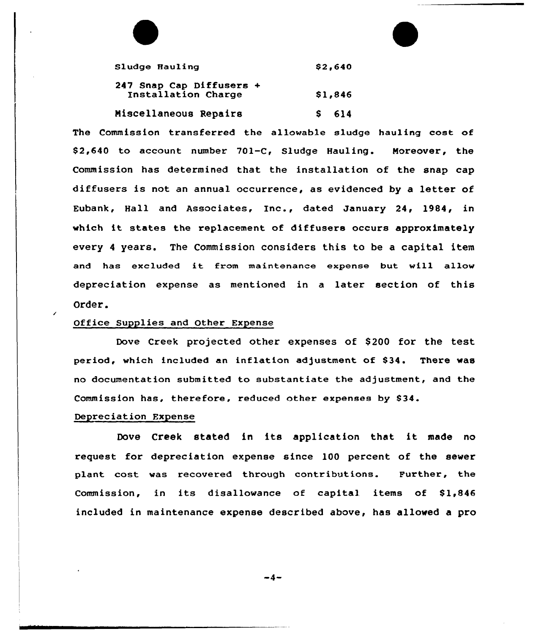| Sludge Hauling                                  | \$2,640 |
|-------------------------------------------------|---------|
| 247 Snap Cap Diffusers +<br>Installation Charge | \$1,846 |
| Miscellaneous Repairs                           | $S$ 614 |

The Commission transferred the allowable sludge hauling cost of \$ 2,640 to account number 701-C, Sludge Hauling. Noreover, the Commission has determined that the installation of the snap cap diffusers is not an annual occurrence, as evidenced by a letter of Eubank, Hall and Associates, Inc., dated January 24, 1984, in which it states the replacement of diffusers occurs approximately every <sup>4</sup> years. The Commission considers this to be a capital item and has excluded it from maintenance expense but will allow depreciation expense as mentioned in a later section of this Order.

# Office Supplies and Other Expense

Dove Creek projected other expenses of \$200 for the test period, which included an inflation adjustment of \$34. There was no documentation submitted to substantiate the adjustment, and the Commission has, therefore, reduced other expenses by \$34.

#### Depreciation Expense

Dove Creek stated in its application that it made no request for depreciation expense since 100 percent of the sewer plant cost was recovered through contributions. Further, the Commission, in its disallowance of capital items of  $$1,846$ included in maintenance expense described above, has allowed a pro

-4-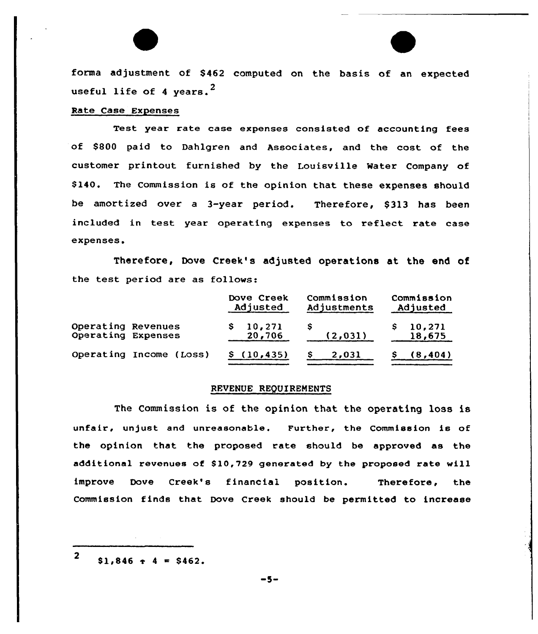forma adjustment of \$462 computed on the basis of an expected useful life of 4 years. $<sup>2</sup>$ </sup>

# Rate Case Expenses

Test year rate case expenses consisted of accounting fees of \$ 800 paid to Dahlgren and Associates, and the cost of the customer printout furnished by the Louisville Mater Company of \$140. The Commission is of the opinion that these expenses should be amortized over a 3-year period. Therefore, \$ 313 has been included in test year operating expenses to reflect rate case expenses.

Therefore, Dove Creek's adjusted operations at the end of the test period are as follows:

|                                          |                         | Dove Creek<br>Adjusted |                  | Commission<br>Adjustments |       | Commission<br>Adjusted |                  |
|------------------------------------------|-------------------------|------------------------|------------------|---------------------------|-------|------------------------|------------------|
| Operating Revenues<br>Operating Expenses |                         |                        | 10,271<br>20,706 | s<br>(2, 031)             |       |                        | 10,271<br>18,675 |
|                                          | Operating Income (Loss) |                        | \$(10, 435)      |                           | 2,031 |                        | (8, 404)         |

# REVENUE REQUIREMENTS

The Commission is of the opinion that the operating loss is unfair, unjust and unreasonable. Further, the Commission is of the opinion that the proposed rate should be approved as the additional revenues of \$10,729 generated by the proposed rate will improve Dove Creek's financial position. Therefore, the Commission finds that Dove Creek should be permitted to increase

2  $$1,846 + 4 = $462.$ 

 $-5-$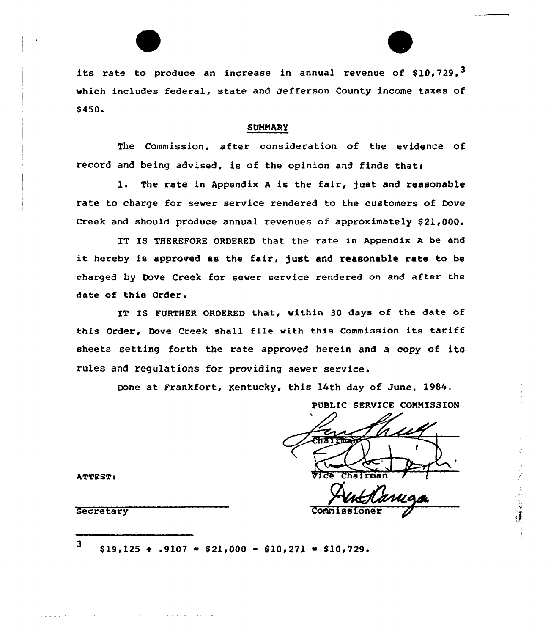its rate to produce an increase in annual revenue of  $$10.729.$ <sup>3</sup> which includes federal, state and Jefferson County income taxes of \$450.

## SUMMARY

The Commission, after consideration of the evidence of record and being advised, is of the opinion and finds that:

1. The rate in Appendix A is the fair, just and reasonable rate to charge for sewer service rendered to the customers of Dove Creek and should produce annual revenues of approximately \$21,000.

IT XS THEREFORE ORDERED that the rate in Appendix <sup>A</sup> be and it hereby is approved as the fair, just and reasonable rate to be charged by Dove Creek for sewer service rendered on and after the date of this Order.

IT IS FURTHER ORDERED that, within 30 days of the date of this Order, Dove Creek shall file with this Commission its tariff sheets setting forth the rate approved herein and a copy of its rules and regulations for providing sewer service.

Done at Frankfort, Kentucky, this 14th day of June, l984.

PUBLIC SERVICE COMMISSION ), **Vice** Chairman Secretary Commiss

ATTESTa

3  $$19,125 \div .9107 = $21,000 - $10,271 = $10,729.$